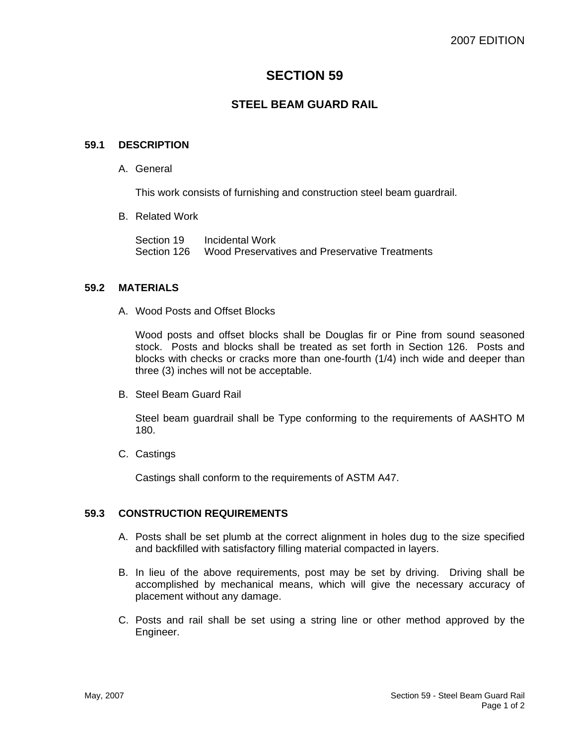# **SECTION 59**

# **STEEL BEAM GUARD RAIL**

#### **59.1 DESCRIPTION**

A. General

This work consists of furnishing and construction steel beam guardrail.

B. Related Work

Section 19 Incidental Work Section 126 Wood Preservatives and Preservative Treatments

#### **59.2 MATERIALS**

A. Wood Posts and Offset Blocks

Wood posts and offset blocks shall be Douglas fir or Pine from sound seasoned stock. Posts and blocks shall be treated as set forth in Section 126. Posts and blocks with checks or cracks more than one-fourth (1/4) inch wide and deeper than three (3) inches will not be acceptable.

B. Steel Beam Guard Rail

Steel beam guardrail shall be Type conforming to the requirements of AASHTO M 180.

C. Castings

Castings shall conform to the requirements of ASTM A47.

#### **59.3 CONSTRUCTION REQUIREMENTS**

- A. Posts shall be set plumb at the correct alignment in holes dug to the size specified and backfilled with satisfactory filling material compacted in layers.
- B. In lieu of the above requirements, post may be set by driving. Driving shall be accomplished by mechanical means, which will give the necessary accuracy of placement without any damage.
- C. Posts and rail shall be set using a string line or other method approved by the Engineer.